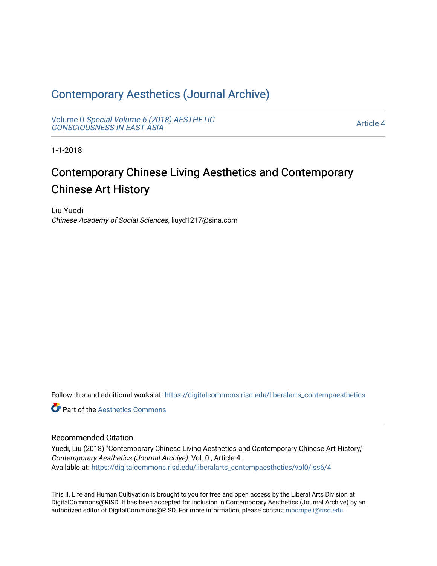# [Contemporary Aesthetics \(Journal Archive\)](https://digitalcommons.risd.edu/liberalarts_contempaesthetics)

Volume 0 [Special Volume 6 \(2018\) AESTHETIC](https://digitalcommons.risd.edu/liberalarts_contempaesthetics/vol0) [CONSCIOUSNESS IN EAST ASIA](https://digitalcommons.risd.edu/liberalarts_contempaesthetics/vol0)

[Article 4](https://digitalcommons.risd.edu/liberalarts_contempaesthetics/vol0/iss6/4) 

1-1-2018

# Contemporary Chinese Living Aesthetics and Contemporary Chinese Art History

Liu Yuedi Chinese Academy of Social Sciences, liuyd1217@sina.com

Follow this and additional works at: [https://digitalcommons.risd.edu/liberalarts\\_contempaesthetics](https://digitalcommons.risd.edu/liberalarts_contempaesthetics?utm_source=digitalcommons.risd.edu%2Fliberalarts_contempaesthetics%2Fvol0%2Fiss6%2F4&utm_medium=PDF&utm_campaign=PDFCoverPages) 

**C** Part of the Aesthetics Commons

### Recommended Citation

Yuedi, Liu (2018) "Contemporary Chinese Living Aesthetics and Contemporary Chinese Art History," Contemporary Aesthetics (Journal Archive): Vol. 0 , Article 4. Available at: [https://digitalcommons.risd.edu/liberalarts\\_contempaesthetics/vol0/iss6/4](https://digitalcommons.risd.edu/liberalarts_contempaesthetics/vol0/iss6/4?utm_source=digitalcommons.risd.edu%2Fliberalarts_contempaesthetics%2Fvol0%2Fiss6%2F4&utm_medium=PDF&utm_campaign=PDFCoverPages)

This II. Life and Human Cultivation is brought to you for free and open access by the Liberal Arts Division at DigitalCommons@RISD. It has been accepted for inclusion in Contemporary Aesthetics (Journal Archive) by an authorized editor of DigitalCommons@RISD. For more information, please contact [mpompeli@risd.edu.](mailto:mpompeli@risd.edu)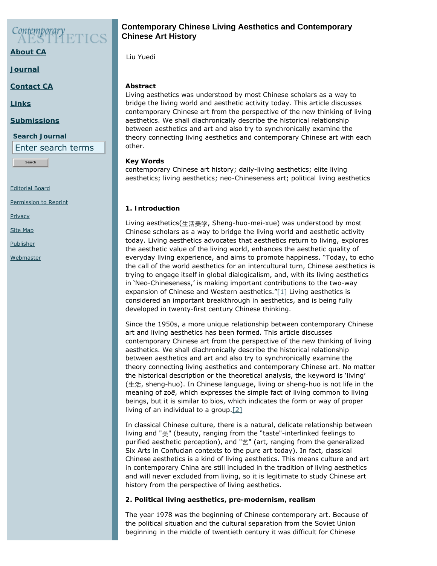# Contemporary

**[About CA](https://www.contempaesthetics.org/pages/about.html)**

**[Journal](https://www.contempaesthetics.org/newvolume/pages/journal.php)**

**[Contact CA](https://www.contempaesthetics.org/pages/contact.html)**

**[Links](https://www.contempaesthetics.org/pages/links.html)**

#### **[Submissions](https://www.contempaesthetics.org/pages/guidelines.html)**

**Search Journal** Enter search terms

Search

[Editorial Board](https://www.contempaesthetics.org/pages/editorialboard.html)

[Permission to Reprint](https://www.contempaesthetics.org/pages/reprint.html)

**[Privacy](https://www.contempaesthetics.org/pages/privacy.html)** 

[Site Map](https://www.contempaesthetics.org/pages/sitemap.html)

**[Publisher](https://www.contempaesthetics.org/pages/publisher.html)** 

<span id="page-1-0"></span>**[Webmaster](mailto:webmaster@contempaesthetics.org)** 

# **Contemporary Chinese Living Aesthetics and Contemporary Chinese Art History**

 *Liu Yuedi*

## **Abstract**

Living aesthetics was understood by most Chinese scholars as a way to bridge the living world and aesthetic activity today. This article discusses contemporary Chinese art from the perspective of the new thinking of living aesthetics. We shall diachronically describe the historical relationship between aesthetics and art and also try to synchronically examine the theory connecting living aesthetics and contemporary Chinese art with each other.

## **Key Words**

contemporary Chinese art history; daily-living aesthetics; elite living aesthetics; living aesthetics; neo-Chineseness art; political living aesthetics

# **1. Introduction**

Living aesthetics(生活美学, Sheng-huo-mei-xue) was understood by most Chinese scholars as a way to bridge the living world and aesthetic activity today. Living aesthetics advocates that aesthetics return to living, explores the aesthetic value of the living world, enhances the aesthetic quality of everyday living experience, and aims to promote happiness. "Today, to echo the call of the world aesthetics for an intercultural turn, Chinese aesthetics is trying to engage itself in global dialogicalism, and, with its living aesthetics in 'Neo-Chineseness,' is making important contributions to the two-way expansion of Chinese and Western aesthetics.["\[1\]](#page-10-0) Living aesthetics is considered an important breakthrough in aesthetics, and is being fully developed in twenty-first century Chinese thinking.

Since the 1950s, a more unique relationship between contemporary Chinese art and living aesthetics has been formed. This article discusses contemporary Chinese art from the perspective of the new thinking of living aesthetics. We shall diachronically describe the historical relationship between aesthetics and art and also try to synchronically examine the theory connecting living aesthetics and contemporary Chinese art. No matter the historical description or the theoretical analysis, the keyword is 'living' (生活, sheng-huo). In Chinese language, living or *sheng-huo* is not life in the meaning of *zoē*, which expresses the simple fact of living common to living beings, but it is similar to *bios*, which indicates the form or way of proper living of an individual to a group. $[2]$ 

<span id="page-1-1"></span>In classical Chinese culture, there is a natural, delicate relationship between living and "美" (beauty, ranging from the "taste"-interlinked feelings to purified aesthetic perception), and "艺" (art, ranging from the generalized Six Arts in Confucian contexts to the pure art today). In fact, classical Chinese aesthetics is a kind of living aesthetics. This means culture and art in contemporary China are still included in the tradition of living aesthetics and will never excluded from living, so it is legitimate to study Chinese art history from the perspective of living aesthetics.

# **2. Political living aesthetics, pre-modernism, realism**

The year 1978 was the beginning of Chinese contemporary art. Because of the political situation and the cultural separation from the Soviet Union beginning in the middle of twentieth century it was difficult for Chinese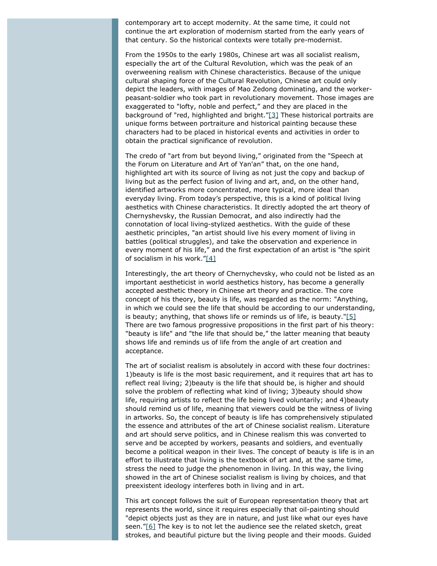contemporary art to accept modernity. At the same time, it could not continue the art exploration of modernism started from the early years of that century. So the historical contexts were totally pre-modernist.

From the 1950s to the early 1980s, Chinese art was all socialist realism, especially the art of the Cultural Revolution, which was the peak of an overweening realism with Chinese characteristics. Because of the unique cultural shaping force of the Cultural Revolution, Chinese art could only depict the leaders, with images of Mao Zedong dominating, and the workerpeasant-soldier who took part in revolutionary movement. Those images are exaggerated to "lofty, noble and perfect," and they are placed in the background of "red, highlighted and bright." $[3]$  These historical portraits are unique forms between portraiture and historical painting because these characters had to be placed in historical events and activities in order to obtain the practical significance of revolution.

<span id="page-2-0"></span>The credo of "art from but beyond living," originated from the "Speech at the Forum on Literature and Art of Yan'an" that, on the one hand, highlighted art with its source of living as not just the copy and backup of living but as the perfect fusion of living and art, and, on the other hand, identified artworks more concentrated, more typical, more ideal than everyday living. From today's perspective, this is a kind of political living aesthetics with Chinese characteristics. It directly adopted the art theory of Chernyshevsky, the Russian Democrat, and also indirectly had the connotation of local living-stylized aesthetics. With the guide of these aesthetic principles, "an artist should live his every moment of living in battles (political struggles), and take the observation and experience in every moment of his life," and the first expectation of an artist is "the spirit of socialism in his work.["\[4\]](#page-10-3)

<span id="page-2-2"></span><span id="page-2-1"></span>Interestingly, the art theory of Chernychevsky, who could not be listed as an important aestheticist in world aesthetics history, has become a generally accepted aesthetic theory in Chinese art theory and practice. The core concept of his theory, beauty is life, was regarded as the norm: "Anything, in which we could see the life that should be according to our understanding, is beauty; anything, that shows life or reminds us of life, is beauty." $[5]$ There are two famous progressive propositions in the first part of his theory: "beauty is life" and "the life that should be," the latter meaning that beauty shows life and reminds us of life from the angle of art creation and acceptance.

The art of socialist realism is absolutely in accord with these four doctrines: 1)beauty is life is the most basic requirement, and it requires that art has to reflect real living; 2)beauty is the life that should be, is higher and should solve the problem of reflecting what kind of living; 3)beauty should show life, requiring artists to reflect the life being lived voluntarily; and 4)beauty should remind us of life, meaning that viewers could be the witness of living in artworks. So, the concept of beauty is life has comprehensively stipulated the essence and attributes of the art of Chinese socialist realism. Literature and art should serve politics, and in Chinese realism this was converted to serve and be accepted by workers, peasants and soldiers, and eventually become a political weapon in their lives. The concept of beauty is life is in an effort to illustrate that living is the textbook of art and, at the same time, stress the need to judge the phenomenon in living. In this way, the living showed in the art of Chinese socialist realism is living by choices, and that preexistent ideology interferes both in living and in art.

<span id="page-2-3"></span>This art concept follows the suit of European representation theory that art represents the world, since it requires especially that oil-painting should "depict objects just as they are in nature, and just like what our eyes have seen.["\[6\]](#page-11-1) The key is to not let the audience see the related sketch, great strokes, and beautiful picture but the living people and their moods. Guided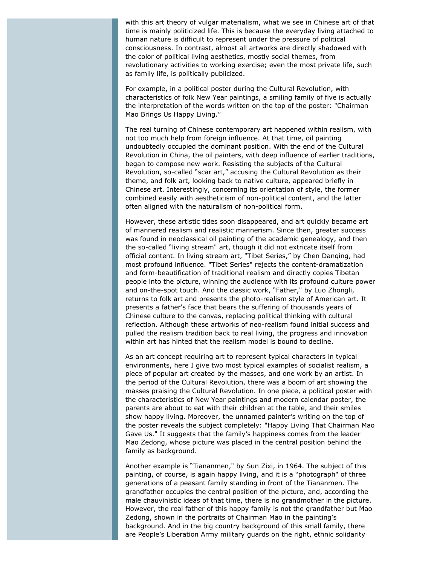with this art theory of vulgar materialism, what we see in Chinese art of that time is mainly politicized life. This is because the everyday living attached to human nature is difficult to represent under the pressure of political consciousness. In contrast, almost all artworks are directly shadowed with the color of political living aesthetics, mostly social themes, from revolutionary activities to working exercise; even the most private life, such as family life, is politically publicized.

For example, in a political poster during the Cultural Revolution, with characteristics of folk New Year paintings, a smiling family of five is actually the interpretation of the words written on the top of the poster: "Chairman Mao Brings Us Happy Living."

The real turning of Chinese contemporary art happened within realism, with not too much help from foreign influence. At that time, oil painting undoubtedly occupied the dominant position. With the end of the Cultural Revolution in China, the oil painters, with deep influence of earlier traditions, began to compose new work. Resisting the subjects of the Cultural Revolution, so-called "scar art," accusing the Cultural Revolution as their theme, and folk art, looking back to native culture, appeared briefly in Chinese art. Interestingly, concerning its orientation of style, the former combined easily with aestheticism of non-political content, and the latter often aligned with the naturalism of non-political form.

However, these artistic tides soon disappeared, and art quickly became art of mannered realism and realistic mannerism. Since then, greater success was found in neoclassical oil painting of the academic genealogy, and then the so-called "living stream" art, though it did not extricate itself from official content. In living stream art, "Tibet Series," by Chen Danqing, had most profound influence. "Tibet Series" rejects the content-dramatization and form-beautification of traditional realism and directly copies Tibetan people into the picture, winning the audience with its profound culture power and on-the-spot touch. And the classic work, "Father," by Luo Zhongli, returns to folk art and presents the photo-realism style of American art. It presents a father's face that bears the suffering of thousands years of Chinese culture to the canvas, replacing political thinking with cultural reflection. Although these artworks of neo-realism found initial success and pulled the realism tradition back to real living, the progress and innovation within art has hinted that the realism model is bound to decline.

As an art concept requiring art to represent typical characters in typical environments, here I give two most typical examples of socialist realism, a piece of popular art created by the masses, and one work by an artist. In the period of the Cultural Revolution, there was a boom of art showing the masses praising the Cultural Revolution. In one piece, a political poster with the characteristics of New Year paintings and modern calendar poster, the parents are about to eat with their children at the table, and their smiles show happy living. Moreover, the unnamed painter's writing on the top of the poster reveals the subject completely: "Happy Living That Chairman Mao Gave Us." It suggests that the family's happiness comes from the leader Mao Zedong, whose picture was placed in the central position behind the family as background.

Another example is "Tiananmen," by Sun Zixi, in 1964. The subject of this painting, of course, is again happy living, and it is a "photograph" of three generations of a peasant family standing in front of the Tiananmen. The grandfather occupies the central position of the picture, and, according the male chauvinistic ideas of that time, there is no grandmother in the picture. However, the real father of this happy family is not the grandfather but Mao Zedong, shown in the portraits of Chairman Mao in the painting's background. And in the big country background of this small family, there are People's Liberation Army military guards on the right, ethnic solidarity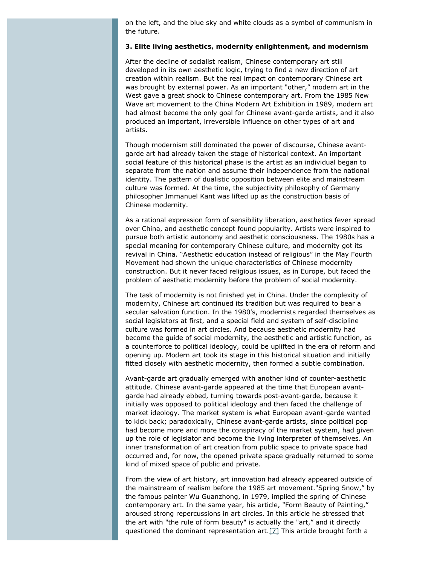on the left, and the blue sky and white clouds as a symbol of communism in the future.

#### **3. Elite living aesthetics, modernity enlightenment, and modernism**

After the decline of socialist realism, Chinese contemporary art still developed in its own aesthetic logic, trying to find a new direction of art creation within realism. But the real impact on contemporary Chinese art was brought by external power. As an important "other," modern art in the West gave a great shock to Chinese contemporary art. From the 1985 New Wave art movement to the China Modern Art Exhibition in 1989, modern art had almost become the only goal for Chinese avant-garde artists, and it also produced an important, irreversible influence on other types of art and artists.

Though modernism still dominated the power of discourse, Chinese avantgarde art had already taken the stage of historical context. An important social feature of this historical phase is the artist as an individual began to separate from the nation and assume their independence from the national identity. The pattern of dualistic opposition between elite and mainstream culture was formed. At the time, the subjectivity philosophy of Germany philosopher Immanuel Kant was lifted up as the construction basis of Chinese modernity.

As a rational expression form of sensibility liberation, aesthetics fever spread over China, and aesthetic concept found popularity. Artists were inspired to pursue both artistic autonomy and aesthetic consciousness. The 1980s has a special meaning for contemporary Chinese culture, and modernity got its revival in China. "Aesthetic education instead of religious" in the May Fourth Movement had shown the unique characteristics of Chinese modernity construction. But it never faced religious issues, as in Europe, but faced the problem of aesthetic modernity before the problem of social modernity.

The task of modernity is not finished yet in China. Under the complexity of modernity, Chinese art continued its tradition but was required to bear a secular salvation function. In the 1980's, modernists regarded themselves as social legislators at first, and a special field and system of self-discipline culture was formed in art circles. And because aesthetic modernity had become the guide of social modernity, the aesthetic and artistic function, as a counterforce to political ideology, could be uplifted in the era of reform and opening up. Modern art took its stage in this historical situation and initially fitted closely with aesthetic modernity, then formed a subtle combination.

Avant-garde art gradually emerged with another kind of counter-aesthetic attitude. Chinese avant-garde appeared at the time that European avantgarde had already ebbed, turning towards post-avant-garde, because it initially was opposed to political ideology and then faced the challenge of market ideology. The market system is what European avant-garde wanted to kick back; paradoxically, Chinese avant-garde artists, since political pop had become more and more the conspiracy of the market system, had given up the role of legislator and become the living interpreter of themselves. An inner transformation of art creation from public space to private space had occurred and, for now, the opened private space gradually returned to some kind of mixed space of public and private.

<span id="page-4-0"></span>From the view of art history, art innovation had already appeared outside of the mainstream of realism before the 1985 art movement."Spring Snow," by the famous painter Wu Guanzhong, in 1979, implied the spring of Chinese contemporary art. In the same year, his article, "Form Beauty of Painting," aroused strong repercussions in art circles. In this article he stressed that the art with "the rule of form beauty" is actually the "art," and it directly questioned the dominant representation art[.\[7\]](#page-11-2) This article brought forth a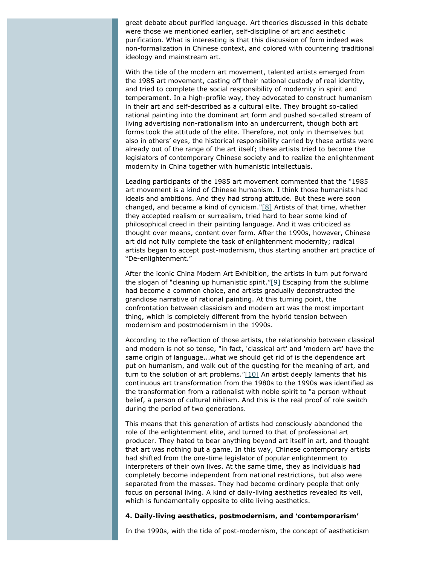great debate about purified language. Art theories discussed in this debate were those we mentioned earlier, self-discipline of art and aesthetic purification. What is interesting is that this discussion of form indeed was non-formalization in Chinese context, and colored with countering traditional ideology and mainstream art.

With the tide of the modern art movement, talented artists emerged from the 1985 art movement, casting off their national custody of real identity, and tried to complete the social responsibility of modernity in spirit and temperament. In a high-profile way, they advocated to construct humanism in their art and self-described as a cultural elite. They brought so-called rational painting into the dominant art form and pushed so-called stream of living advertising non-rationalism into an undercurrent, though both art forms took the attitude of the elite. Therefore, not only in themselves but also in others' eyes, the historical responsibility carried by these artists were already out of the range of the art itself; these artists tried to become the legislators of contemporary Chinese society and to realize the enlightenment modernity in China together with humanistic intellectuals.

<span id="page-5-0"></span>Leading participants of the 1985 art movement commented that the "1985 art movement is a kind of Chinese humanism. I think those humanists had ideals and ambitions. And they had strong attitude. But these were soon changed, and became a kind of cynicism." $[8]$  Artists of that time, whether they accepted realism or surrealism, tried hard to bear some kind of philosophical creed in their painting language. And it was criticized as thought over means, content over form. After the 1990s, however, Chinese art did not fully complete the task of enlightenment modernity; radical artists began to accept post-modernism, thus starting another art practice of "De-enlightenment."

<span id="page-5-1"></span>After the iconic China Modern Art Exhibition, the artists in turn put forward the slogan of "cleaning up humanistic spirit.["\[9\]](#page-11-4) Escaping from the sublime had become a common choice, and artists gradually deconstructed the grandiose narrative of rational painting. At this turning point, the confrontation between classicism and modern art was the most important thing, which is completely different from the hybrid tension between modernism and postmodernism in the 1990s.

<span id="page-5-2"></span>According to the reflection of those artists, the relationship between classical and modern is not so tense, "in fact, 'classical art' and 'modern art' have the same origin of language...what we should get rid of is the dependence art put on humanism, and walk out of the questing for the meaning of art, and turn to the solution of art problems." $[10]$  An artist deeply laments that his continuous art transformation from the 1980s to the 1990s was identified as the transformation from a rationalist with noble spirit to "a person without belief, a person of cultural nihilism. And this is the real proof of role switch during the period of two generations.

This means that this generation of artists had consciously abandoned the role of the enlightenment elite, and turned to that of professional art producer. They hated to bear anything beyond art itself in art, and thought that art was nothing but a game. In this way, Chinese contemporary artists had shifted from the one-time legislator of popular enlightenment to interpreters of their own lives. At the same time, they as individuals had completely become independent from national restrictions, but also were separated from the masses. They had become ordinary people that only focus on personal living. A kind of daily-living aesthetics revealed its veil, which is fundamentally opposite to elite living aesthetics.

#### **4. Daily-living aesthetics, postmodernism, and 'contemporarism'**

In the 1990s, with the tide of post-modernism, the concept of aestheticism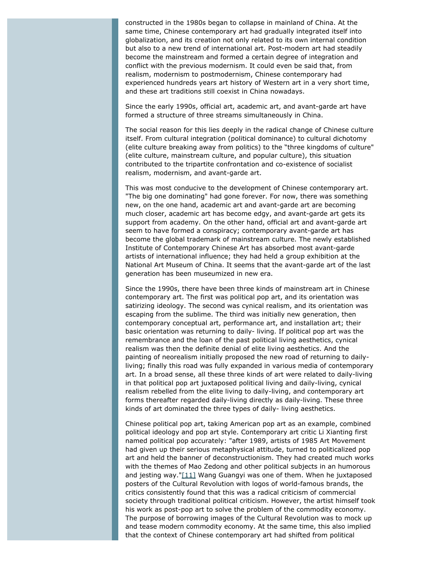constructed in the 1980s began to collapse in mainland of China. At the same time, Chinese contemporary art had gradually integrated itself into globalization, and its creation not only related to its own internal condition but also to a new trend of international art. Post-modern art had steadily become the mainstream and formed a certain degree of integration and conflict with the previous modernism. It could even be said that, from realism, modernism to postmodernism, Chinese contemporary had experienced hundreds years art history of Western art in a very short time, and these art traditions still coexist in China nowadays.

Since the early 1990s, official art, academic art, and avant-garde art have formed a structure of three streams simultaneously in China.

The social reason for this lies deeply in the radical change of Chinese culture itself. From cultural integration (political dominance) to cultural dichotomy (elite culture breaking away from politics) to the "three kingdoms of culture" (elite culture, mainstream culture, and popular culture), this situation contributed to the tripartite confrontation and co-existence of socialist realism, modernism, and avant-garde art.

This was most conducive to the development of Chinese contemporary art. "The big one dominating" had gone forever. For now, there was something new, on the one hand, academic art and avant-garde art are becoming much closer, academic art has become edgy, and avant-garde art gets its support from academy. On the other hand, official art and avant-garde art seem to have formed a conspiracy; contemporary avant-garde art has become the global trademark of mainstream culture. The newly established Institute of Contemporary Chinese Art has absorbed most avant-garde artists of international influence; they had held a group exhibition at the National Art Museum of China. It seems that the avant-garde art of the last generation has been museumized in new era.

Since the 1990s, there have been three kinds of mainstream art in Chinese contemporary art. The first was political pop art, and its orientation was satirizing ideology. The second was cynical realism, and its orientation was escaping from the sublime. The third was initially new generation, then contemporary conceptual art, performance art, and installation art; their basic orientation was returning to daily- living. If political pop art was the remembrance and the loan of the past political living aesthetics, cynical realism was then the definite denial of elite living aesthetics. And the painting of neorealism initially proposed the new road of returning to dailyliving; finally this road was fully expanded in various media of contemporary art. In a broad sense, all these three kinds of art were related to daily-living in that political pop art juxtaposed political living and daily-living, cynical realism rebelled from the elite living to daily-living, and contemporary art forms thereafter regarded daily-living directly as daily-living. These three kinds of art dominated the three types of daily- living aesthetics.

<span id="page-6-0"></span>Chinese political pop art, taking American pop art as an example, combined political ideology and pop art style. Contemporary art critic Li Xianting first named political pop accurately: "after 1989, artists of 1985 Art Movement had given up their serious metaphysical attitude, turned to politicalized pop art and held the banner of deconstructionism. They had created much works with the themes of Mao Zedong and other political subjects in an humorous and jesting way."[\[11\]](#page-11-6) Wang Guangyi was one of them. When he juxtaposed posters of the Cultural Revolution with logos of world-famous brands, the critics consistently found that this was a radical criticism of commercial society through traditional political criticism. However, the artist himself took his work as post-pop art to solve the problem of the commodity economy. The purpose of borrowing images of the Cultural Revolution was to mock up and tease modern commodity economy. At the same time, this also implied that the context of Chinese contemporary art had shifted from political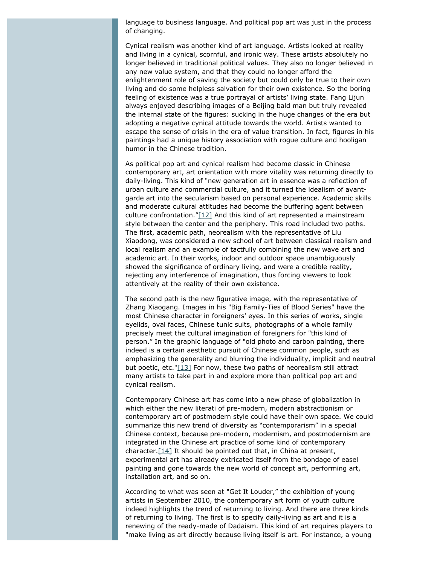language to business language. And political pop art was just in the process of changing.

Cynical realism was another kind of art language. Artists looked at reality and living in a cynical, scornful, and ironic way. These artists absolutely no longer believed in traditional political values. They also no longer believed in any new value system, and that they could no longer afford the enlightenment role of saving the society but could only be true to their own living and do some helpless salvation for their own existence. So the boring feeling of existence was a true portrayal of artists' living state. Fang Lijun always enjoyed describing images of a Beijing bald man but truly revealed the internal state of the figures: sucking in the huge changes of the era but adopting a negative cynical attitude towards the world. Artists wanted to escape the sense of crisis in the era of value transition. In fact, figures in his paintings had a unique history association with rogue culture and hooligan humor in the Chinese tradition.

<span id="page-7-0"></span>As political pop art and cynical realism had become classic in Chinese contemporary art, art orientation with more vitality was returning directly to daily-living. This kind of "new generation art in essence was a reflection of urban culture and commercial culture, and it turned the idealism of avantgarde art into the secularism based on personal experience. Academic skills and moderate cultural attitudes had become the buffering agent between culture confrontation." $[12]$  And this kind of art represented a mainstream style between the center and the periphery. This road included two paths. The first, academic path, neorealism with the representative of Liu Xiaodong, was considered a new school of art between classical realism and local realism and an example of tactfully combining the new wave art and academic art. In their works, indoor and outdoor space unambiguously showed the significance of ordinary living, and were a credible reality, rejecting any interference of imagination, thus forcing viewers to look attentively at the reality of their own existence.

The second path is the new figurative image, with the representative of Zhang Xiaogang. Images in his "Big Family-Ties of Blood Series" have the most Chinese character in foreigners' eyes. In this series of works, single eyelids, oval faces, Chinese tunic suits, photographs of a whole family precisely meet the cultural imagination of foreigners for "this kind of person." In the graphic language of "old photo and carbon painting, there indeed is a certain aesthetic pursuit of Chinese common people, such as emphasizing the generality and blurring the individuality, implicit and neutral but poetic, etc.["\[13\]](#page-11-8) For now, these two paths of neorealism still attract many artists to take part in and explore more than political pop art and cynical realism.

<span id="page-7-1"></span>Contemporary Chinese art has come into a new phase of globalization in which either the new literati of pre-modern, modern abstractionism or contemporary art of postmodern style could have their own space. We could summarize this new trend of diversity as "contemporarism" in a special Chinese context, because pre-modern, modernism, and postmodernism are integrated in the Chinese art practice of some kind of contemporary character. $[14]$  It should be pointed out that, in China at present, experimental art has already extricated itself from the bondage of easel painting and gone towards the new world of concept art, performing art, installation art, and so on.

<span id="page-7-2"></span>According to what was seen at "Get It Louder," the exhibition of young artists in September 2010, the contemporary art form of youth culture indeed highlights the trend of returning to living. And there are three kinds of returning to living. The first is to specify daily-living as art and it is a renewing of the ready-made of Dadaism. This kind of art requires players to "make living as art directly because living itself is art. For instance, a young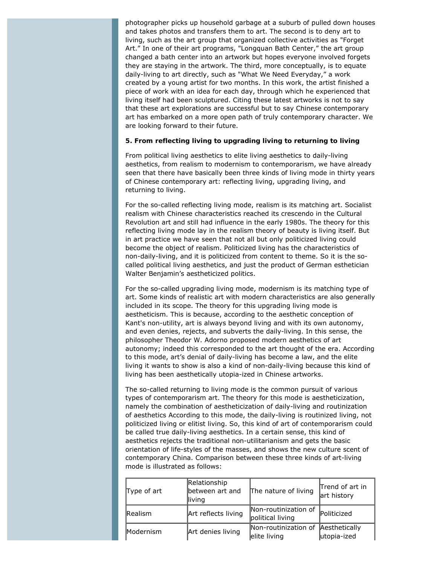photographer picks up household garbage at a suburb of pulled down houses and takes photos and transfers them to art. The second is to deny art to living, such as the art group that organized collective activities as "Forget Art." In one of their art programs, "Longquan Bath Center," the art group changed a bath center into an artwork but hopes everyone involved forgets they are staying in the artwork. The third, more conceptually, is to equate daily-living to art directly, such as "What We Need Everyday," a work created by a young artist for two months. In this work, the artist finished a piece of work with an idea for each day, through which he experienced that living itself had been sculptured. Citing these latest artworks is not to say that these art explorations are successful but to say Chinese contemporary art has embarked on a more open path of truly contemporary character. We are looking forward to their future.

#### **5. From reflecting living to upgrading living to returning to living**

From political living aesthetics to elite living aesthetics to daily-living aesthetics, from realism to modernism to contemporarism, we have already seen that there have basically been three kinds of living mode in thirty years of Chinese contemporary art: reflecting living, upgrading living, and returning to living.

For the so-called reflecting living mode, realism is its matching art. Socialist realism with Chinese characteristics reached its crescendo in the Cultural Revolution art and still had influence in the early 1980s. The theory for this reflecting living mode lay in the realism theory of beauty is living itself. But in art practice we have seen that not all but only politicized living could become the object of realism. Politicized living has the characteristics of non-daily-living, and it is politicized from content to theme. So it is the socalled political living aesthetics, and just the product of German esthetician Walter Benjamin's aestheticized politics.

For the so-called upgrading living mode, modernism is its matching type of art. Some kinds of realistic art with modern characteristics are also generally included in its scope. The theory for this upgrading living mode is aestheticism. This is because, according to the aesthetic conception of Kant's non-utility, art is always beyond living and with its own autonomy, and even denies, rejects, and subverts the daily-living. In this sense, the philosopher Theodor W. Adorno proposed modern aesthetics of art autonomy; indeed this corresponded to the art thought of the era. According to this mode, art's denial of daily-living has become a law, and the elite living it wants to show is also a kind of non-daily-living because this kind of living has been aesthetically utopia-ized in Chinese artworks.

The so-called returning to living mode is the common pursuit of various types of contemporarism art. The theory for this mode is aestheticization, namely the combination of aestheticization of daily-living and routinization of aesthetics According to this mode, the daily-living is routinized living, not politicized living or elitist living. So, this kind of art of contemporarism could be called true daily-living aesthetics. In a certain sense, this kind of aesthetics rejects the traditional non-utilitarianism and gets the basic orientation of life-styles of the masses, and shows the new culture scent of contemporary China. Comparison between these three kinds of art-living mode is illustrated as follows:

| Type of art    | Relationship<br>between art and<br>lliving | The nature of living                     | Trend of art in<br>art history |
|----------------|--------------------------------------------|------------------------------------------|--------------------------------|
| <b>Realism</b> | Art reflects living                        | Non-routinization of<br>political living | Politicized                    |
| Modernism      | Art denies living                          | Non-routinization of<br>elite living     | Aesthetically<br>utopia-ized   |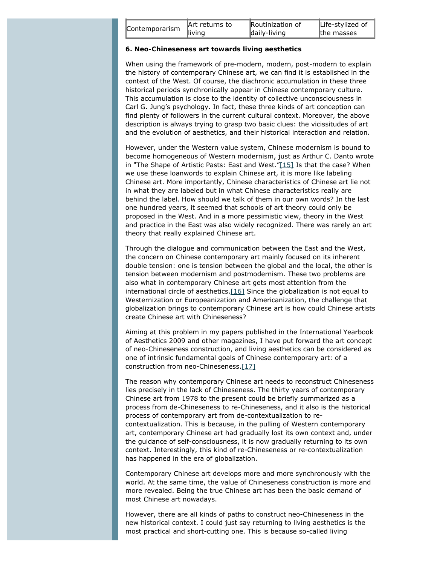| Contemporarism | Art returns to | <b>Routinization of</b> | Life-stylized of |
|----------------|----------------|-------------------------|------------------|
|                | lliving        | daily-living            | the masses       |

#### **6. Neo-Chineseness art towards living aesthetics**

When using the framework of pre-modern, modern, post-modern to explain the history of contemporary Chinese art, we can find it is established in the context of the West. Of course, the diachronic accumulation in these three historical periods synchronically appear in Chinese contemporary culture. This accumulation is close to the identity of collective unconsciousness in Carl G. Jung's psychology. In fact, these three kinds of art conception can find plenty of followers in the current cultural context. Moreover, the above description is always trying to grasp two basic clues: the vicissitudes of art and the evolution of aesthetics, and their historical interaction and relation.

<span id="page-9-0"></span>However, under the Western value system, Chinese modernism is bound to become homogeneous of Western modernism, just as Arthur C. Danto wrote in "The Shape of Artistic Pasts: East and West.["\[15\]](#page-11-10) Is that the case? When we use these loanwords to explain Chinese art, it is more like labeling Chinese art. More importantly, Chinese characteristics of Chinese art lie not in what they are labeled but in what Chinese characteristics really are behind the label. How should we talk of them in our own words? In the last one hundred years, it seemed that schools of art theory could only be proposed in the West. And in a more pessimistic view, theory in the West and practice in the East was also widely recognized. There was rarely an art theory that really explained Chinese art.

Through the dialogue and communication between the East and the West, the concern on Chinese contemporary art mainly focused on its inherent double tension: one is tension between the global and the local, the other is tension between modernism and postmodernism. These two problems are also what in contemporary Chinese art gets most attention from the international circle of aesthetics.<sup>[16]</sup> Since the globalization is not equal to Westernization or Europeanization and Americanization, the challenge that globalization brings to contemporary Chinese art is how could Chinese artists create Chinese art with Chineseness?

<span id="page-9-1"></span>Aiming at this problem in my papers published in the International Yearbook of Aesthetics 2009 and other magazines, I have put forward the art concept of neo-Chineseness construction, and living aesthetics can be considered as one of intrinsic fundamental goals of Chinese contemporary art: of a construction from neo-Chineseness.[\[17\]](#page-11-12)

<span id="page-9-2"></span>The reason why contemporary Chinese art needs to reconstruct Chineseness lies precisely in the lack of Chineseness. The thirty years of contemporary Chinese art from 1978 to the present could be briefly summarized as a process from de-Chineseness to re-Chineseness, and it also is the historical process of contemporary art from de-contextualization to recontextualization. This is because, in the pulling of Western contemporary art, contemporary Chinese art had gradually lost its own context and, under the guidance of self-consciousness, it is now gradually returning to its own context. Interestingly, this kind of re-Chineseness or re-contextualization has happened in the era of globalization.

Contemporary Chinese art develops more and more synchronously with the world. At the same time, the value of Chineseness construction is more and more revealed. Being the true Chinese art has been the basic demand of most Chinese art nowadays.

However, there are all kinds of paths to construct neo-Chineseness in the new historical context. I could just say returning to living aesthetics is the most practical and short-cutting one. This is because so-called living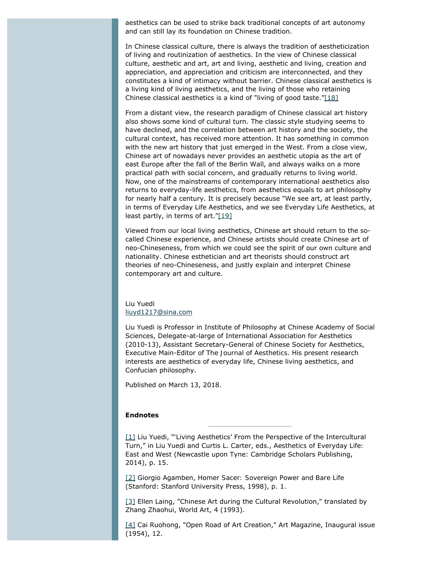aesthetics can be used to strike back traditional concepts of art autonomy and can still lay its foundation on Chinese tradition.

In Chinese classical culture, there is always the tradition of aestheticization of living and routinization of aesthetics. In the view of Chinese classical culture, aesthetic and art, art and living, aesthetic and living, creation and appreciation, and appreciation and criticism are interconnected, and they constitutes a kind of intimacy without barrier. Chinese classical aesthetics is a living kind of living aesthetics, and the living of those who retaining Chinese classical aesthetics is a kind of "living of good taste." $[18]$ 

<span id="page-10-4"></span>From a distant view, the research paradigm of Chinese classical art history also shows some kind of cultural turn. The classic style studying seems to have declined, and the correlation between art history and the society, the cultural context, has received more attention. It has something in common with the new art history that just emerged in the West. From a close view, Chinese art of nowadays never provides an aesthetic utopia as the art of east Europe after the fall of the Berlin Wall, and always walks on a more practical path with social concern, and gradually returns to living world. Now, one of the mainstreams of contemporary international aesthetics also returns to everyday-life aesthetics, from aesthetics equals to art philosophy for nearly half a century. It is precisely because "We see art, at least partly, in terms of Everyday Life Aesthetics, and we see Everyday Life Aesthetics, at least partly, in terms of art." $[19]$ 

<span id="page-10-5"></span>Viewed from our local living aesthetics, Chinese art should return to the socalled Chinese experience, and Chinese artists should create Chinese art of neo-Chineseness, from which we could see the spirit of our own culture and nationality. Chinese esthetician and art theorists should construct art theories of neo-Chineseness, and justly explain and interpret Chinese contemporary art and culture.

#### Liu Yuedi [liuyd1217@sina.com](mailto:liuyd1217@sina.com)

Liu Yuedi is Professor in Institute of Philosophy at Chinese Academy of Social Sciences, Delegate-at-large of International Association for Aesthetics (2010-13), Assistant Secretary-General of Chinese Society for Aesthetics, Executive Main-Editor of *The Journal of Aesthetics*. His present research interests are aesthetics of everyday life, Chinese living aesthetics, and Confucian philosophy.

Published on March 13, 2018.

#### **Endnotes**

<span id="page-10-0"></span>[\[1\]](#page-1-0) Liu Yuedi, "'Living Aesthetics' From the Perspective of the Intercultural Turn," in Liu Yuedi and Curtis L. Carter, eds., *Aesthetics of Everyday Life: East and West* (Newcastle upon Tyne: Cambridge Scholars Publishing, 2014), p. 15.

<span id="page-10-1"></span>[\[2\]](#page-1-1) Giorgio Agamben, *Homer Sacer: Sovereign Power and Bare Life* (Stanford: Stanford University Press, 1998), p. 1.

<span id="page-10-2"></span>[\[3\]](#page-2-0) Ellen Laing, "Chinese Art during the Cultural Revolution," translated by Zhang Zhaohui, *World Art*, 4 (1993).

<span id="page-10-3"></span>[\[4\]](#page-2-1) Cai Ruohong, "Open Road of Art Creation," *Art Magazine*, Inaugural issue (1954), 12.